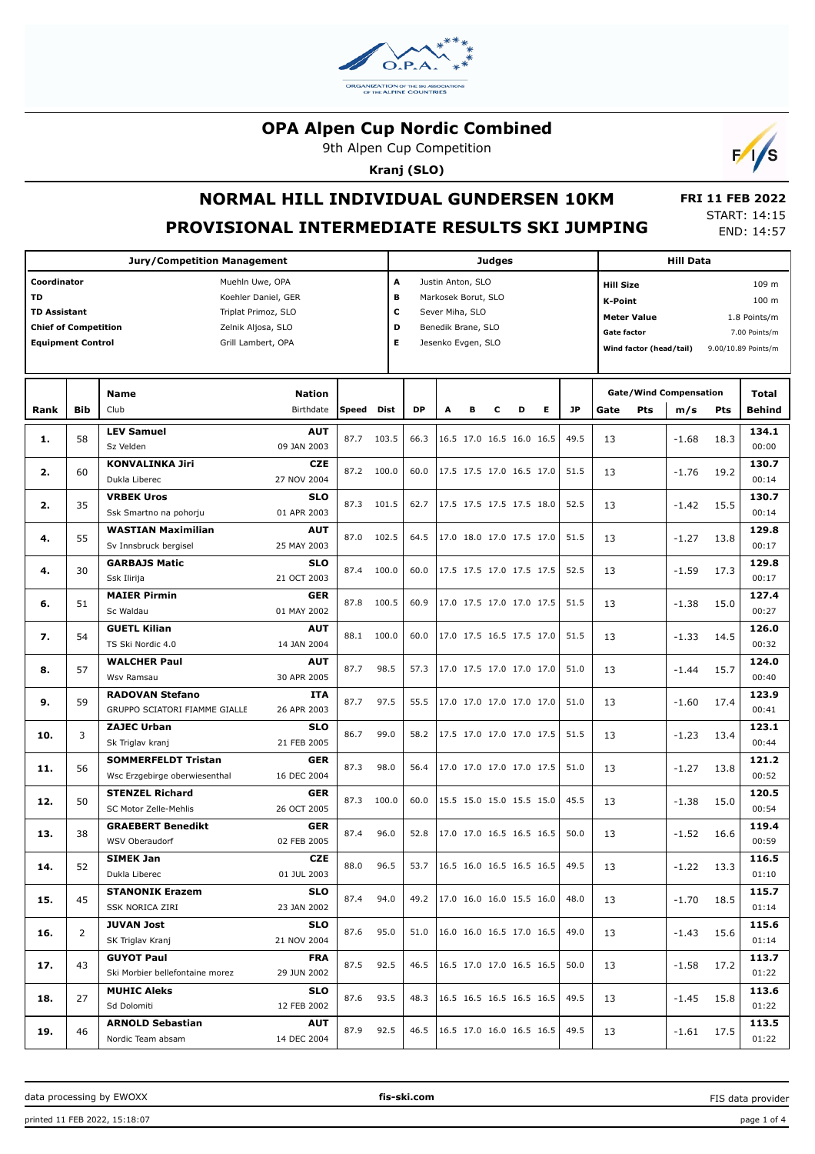

9th Alpen Cup Competition

**Kranj (SLO)**



**NORMAL HILL INDIVIDUAL GUNDERSEN 10KM**

**PROVISIONAL INTERMEDIATE RESULTS SKI JUMPING**

 **FRI 11 FEB 2022** START: 14:15 END: 14:57

|                             |            |                                                     |                            |            |            |           | <b>Judges</b>       |   |   |                          | <b>Hill Data</b> |  |                         |                    |                                      |            |                        |
|-----------------------------|------------|-----------------------------------------------------|----------------------------|------------|------------|-----------|---------------------|---|---|--------------------------|------------------|--|-------------------------|--------------------|--------------------------------------|------------|------------------------|
| Coordinator                 |            | Muehln Uwe, OPA                                     |                            |            | A          |           | Justin Anton, SLO   |   |   |                          |                  |  | <b>Hill Size</b>        |                    |                                      |            | 109 m                  |
| <b>TD</b>                   |            | Koehler Daniel, GER                                 |                            |            | В          |           | Markosek Borut, SLO |   |   |                          |                  |  | <b>K-Point</b>          |                    |                                      |            | 100 <sub>m</sub>       |
| <b>TD Assistant</b>         |            | Triplat Primoz, SLO                                 |                            |            | c          |           | Sever Miha, SLO     |   |   |                          |                  |  |                         | <b>Meter Value</b> |                                      |            | 1.8 Points/m           |
| <b>Chief of Competition</b> |            | Zelnik Aljosa, SLO                                  |                            |            | D          |           | Benedik Brane, SLO  |   |   |                          |                  |  | Gate factor             |                    |                                      |            | 7.00 Points/m          |
| <b>Equipment Control</b>    |            | Grill Lambert, OPA                                  |                            |            | Е          |           | Jesenko Evgen, SLO  |   |   |                          |                  |  |                         |                    |                                      |            | 9.00/10.89 Points/m    |
|                             |            |                                                     |                            |            |            |           |                     |   |   |                          |                  |  | Wind factor (head/tail) |                    |                                      |            |                        |
|                             |            |                                                     |                            |            |            |           |                     |   |   |                          |                  |  |                         |                    |                                      |            |                        |
| Rank                        | <b>Bib</b> | <b>Name</b><br>Club                                 | <b>Nation</b><br>Birthdate | Speed Dist |            | <b>DP</b> | A                   | в | c | D                        | <b>JP</b><br>E.  |  | Gate                    | <b>Pts</b>         | <b>Gate/Wind Compensation</b><br>m/s | <b>Pts</b> | Total<br><b>Behind</b> |
|                             |            |                                                     |                            |            |            |           |                     |   |   |                          |                  |  |                         |                    |                                      |            |                        |
| 1.                          | 58         | <b>LEV Samuel</b><br>Sz Velden                      | <b>AUT</b><br>09 JAN 2003  | 87.7       | 103.5      | 66.3      |                     |   |   | 16.5 17.0 16.5 16.0 16.5 | 49.5             |  | 13                      |                    | $-1.68$                              | 18.3       | 134.1<br>00:00         |
|                             |            | <b>KONVALINKA Jiri</b>                              | <b>CZE</b>                 |            |            |           |                     |   |   |                          |                  |  |                         |                    |                                      |            | 130.7                  |
| 2.                          | 60         | Dukla Liberec                                       | 27 NOV 2004                |            | 87.2 100.0 | 60.0      |                     |   |   | 17.5 17.5 17.0 16.5 17.0 | 51.5             |  | 13                      |                    | $-1.76$                              | 19.2       | 00:14                  |
| 2.                          | 35         | <b>VRBEK Uros</b>                                   | <b>SLO</b>                 | 87.3       | 101.5      | 62.7      |                     |   |   | 17.5 17.5 17.5 17.5 18.0 | 52.5             |  | 13                      |                    | $-1.42$                              | 15.5       | 130.7                  |
|                             |            | Ssk Smartno na pohorju                              | 01 APR 2003                |            |            |           |                     |   |   |                          |                  |  |                         |                    |                                      |            | 00:14                  |
| 4.                          | 55         | <b>WASTIAN Maximilian</b>                           | <b>AUT</b>                 | 87.0       | 102.5      | 64.5      |                     |   |   | 17.0 18.0 17.0 17.5 17.0 | 51.5             |  | 13                      |                    | $-1.27$                              | 13.8       | 129.8                  |
|                             |            | Sv Innsbruck bergisel                               | 25 MAY 2003                |            |            |           |                     |   |   |                          |                  |  |                         |                    |                                      |            | 00:17                  |
| 4.                          | 30         | <b>GARBAJS Matic</b><br>Ssk Ilirija                 | <b>SLO</b><br>21 OCT 2003  | 87.4       | 100.0      | 60.0      |                     |   |   | 17.5 17.5 17.0 17.5 17.5 | 52.5             |  | 13                      |                    | $-1.59$                              | 17.3       | 129.8<br>00:17         |
|                             |            | <b>MAIER Pirmin</b>                                 | <b>GER</b>                 |            |            |           |                     |   |   |                          |                  |  |                         |                    |                                      |            | 127.4                  |
| 6.                          | 51         | Sc Waldau                                           | 01 MAY 2002                | 87.8       | 100.5      | 60.9      |                     |   |   | 17.0 17.5 17.0 17.0 17.5 | 51.5             |  | 13                      |                    | $-1.38$                              | 15.0       | 00:27                  |
|                             |            | <b>GUETL Kilian</b>                                 | <b>AUT</b>                 |            |            |           |                     |   |   |                          |                  |  |                         |                    |                                      |            | 126.0                  |
| 7.                          | 54         | TS Ski Nordic 4.0                                   | 14 JAN 2004                | 88.1       | 100.0      | 60.0      |                     |   |   | 17.0 17.5 16.5 17.5 17.0 | 51.5             |  | 13                      |                    | $-1.33$                              | 14.5       | 00:32                  |
| 8.                          | 57         | <b>WALCHER Paul</b>                                 | <b>AUT</b>                 | 87.7       | 98.5       | 57.3      |                     |   |   | 17.0 17.5 17.0 17.0 17.0 | 51.0             |  | 13                      |                    | $-1.44$                              | 15.7       | 124.0                  |
|                             |            | Wsv Ramsau                                          | 30 APR 2005                |            |            |           |                     |   |   |                          |                  |  |                         |                    |                                      |            | 00:40                  |
| 9.                          | 59         | <b>RADOVAN Stefano</b>                              | <b>ITA</b>                 | 87.7       | 97.5       | 55.5      |                     |   |   | 17.0 17.0 17.0 17.0 17.0 | 51.0             |  | 13                      |                    | $-1.60$                              | 17.4       | 123.9                  |
|                             |            | GRUPPO SCIATORI FIAMME GIALLE<br><b>ZAJEC Urban</b> | 26 APR 2003<br><b>SLO</b>  |            |            |           |                     |   |   |                          |                  |  |                         |                    |                                      |            | 00:41<br>123.1         |
| 10.                         | 3          | Sk Triglav kranj                                    | 21 FEB 2005                | 86.7       | 99.0       | 58.2      |                     |   |   | 17.5 17.0 17.0 17.0 17.5 | 51.5             |  | 13                      |                    | $-1.23$                              | 13.4       | 00:44                  |
|                             |            | <b>SOMMERFELDT Tristan</b>                          | <b>GER</b>                 |            |            |           |                     |   |   |                          |                  |  |                         |                    |                                      |            | 121.2                  |
| 11.                         | 56         | Wsc Erzgebirge oberwiesenthal                       | 16 DEC 2004                | 87.3       | 98.0       | 56.4      |                     |   |   | 17.0 17.0 17.0 17.0 17.5 | 51.0             |  | 13                      |                    | $-1.27$                              | 13.8       | 00:52                  |
| 12.                         | 50         | <b>STENZEL Richard</b>                              | <b>GER</b>                 | 87.3       | 100.0      | 60.0      |                     |   |   | 15.5 15.0 15.0 15.5 15.0 | 45.5             |  | 13                      |                    | $-1.38$                              | 15.0       | 120.5                  |
|                             |            | SC Motor Zelle-Mehlis                               | 26 OCT 2005                |            |            |           |                     |   |   |                          |                  |  |                         |                    |                                      |            | 00:54                  |
| 13.                         | 38         | <b>GRAEBERT Benedikt</b>                            | <b>GER</b>                 | 87.4       | 96.0       | 52.8      |                     |   |   | 17.0 17.0 16.5 16.5 16.5 | 50.0             |  | 13                      |                    | $-1.52$                              | 16.6       | 119.4                  |
|                             |            | WSV Oberaudorf<br><b>SIMEK Jan</b>                  | 02 FEB 2005<br><b>CZE</b>  |            |            |           |                     |   |   |                          |                  |  |                         |                    |                                      |            | 00:59<br>116.5         |
| 14.                         | 52         | Dukla Liberec                                       | 01 JUL 2003                | 88.0       | 96.5       | 53.7      |                     |   |   | 16.5 16.0 16.5 16.5 16.5 | 49.5             |  | 13                      |                    | $-1.22$                              | 13.3       | 01:10                  |
|                             |            | <b>STANONIK Erazem</b>                              | <b>SLO</b>                 |            |            |           |                     |   |   |                          |                  |  |                         |                    |                                      |            | 115.7                  |
| 15.                         | 45         | SSK NORICA ZIRI                                     | 23 JAN 2002                | 87.4       | 94.0       | 49.2      |                     |   |   | 17.0 16.0 16.0 15.5 16.0 | 48.0             |  | 13                      |                    | $-1.70$                              | 18.5       | 01:14                  |
|                             |            | <b>JUVAN Jost</b>                                   | <b>SLO</b>                 | 87.6       | 95.0       | 51.0      |                     |   |   | 16.0 16.0 16.5 17.0 16.5 | 49.0             |  |                         |                    |                                      |            | 115.6                  |
| 16.                         | 2          | SK Triglav Kranj                                    | 21 NOV 2004                |            |            |           |                     |   |   |                          |                  |  | 13                      |                    | -1.43                                | 15.6       | 01:14                  |
| 17.                         | 43         | <b>GUYOT Paul</b>                                   | <b>FRA</b>                 | 87.5       | 92.5       | 46.5      |                     |   |   | 16.5 17.0 17.0 16.5 16.5 | 50.0             |  | 13                      |                    | -1.58                                | 17.2       | 113.7                  |
|                             |            | Ski Morbier bellefontaine morez                     | 29 JUN 2002                |            |            |           |                     |   |   |                          |                  |  |                         |                    |                                      |            | 01:22                  |
| 18.                         | 27         | <b>MUHIC Aleks</b>                                  | <b>SLO</b>                 | 87.6       | 93.5       | 48.3      |                     |   |   | 16.5 16.5 16.5 16.5 16.5 | 49.5             |  | 13                      |                    | -1.45                                | 15.8       | 113.6                  |
|                             |            | Sd Dolomiti                                         | 12 FEB 2002                |            |            |           |                     |   |   |                          |                  |  |                         |                    |                                      |            | 01:22                  |
| 19.                         | 46         | <b>ARNOLD Sebastian</b>                             | AUT                        | 87.9       | 92.5       | 46.5      |                     |   |   | 16.5 17.0 16.0 16.5 16.5 | 49.5             |  | 13                      |                    | -1.61                                | 17.5       | 113.5                  |
|                             |            | Nordic Team absam                                   | 14 DEC 2004                |            |            |           |                     |   |   |                          |                  |  |                         |                    |                                      |            | 01:22                  |

data processing by EWOXX **fis-ski.com**

FIS data provider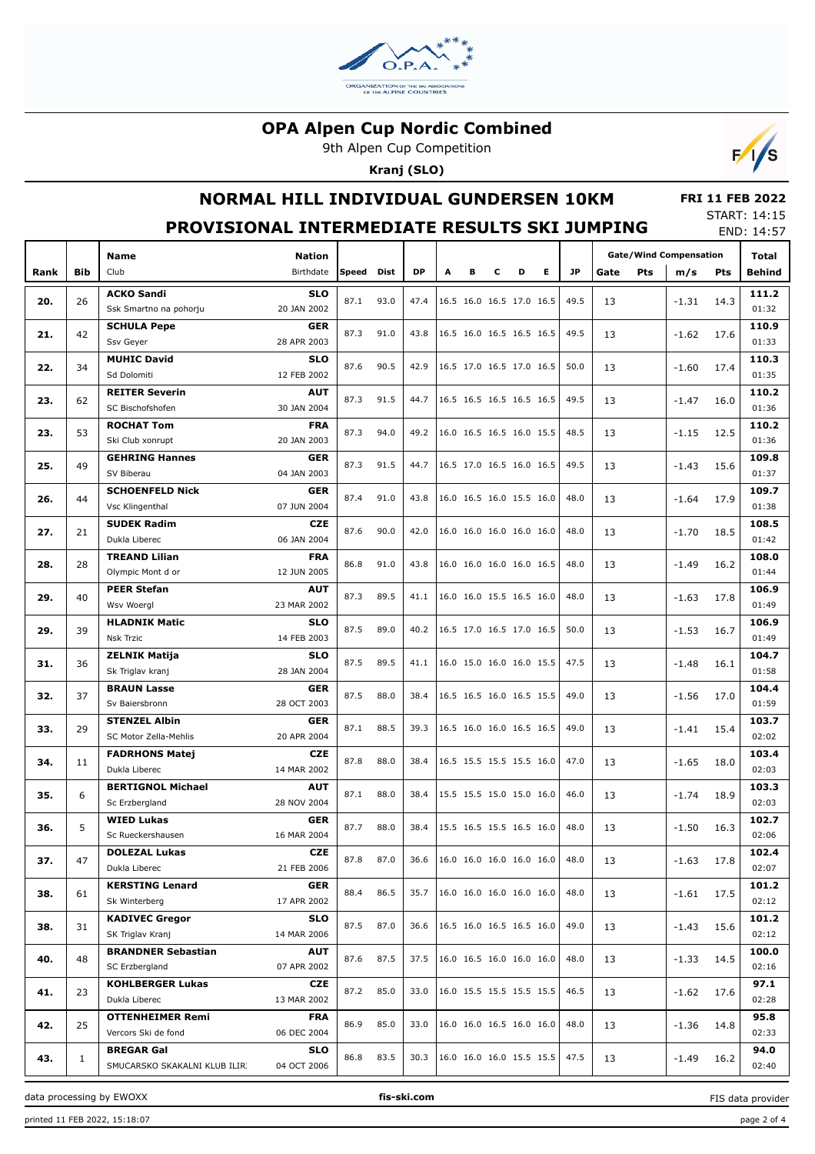

9th Alpen Cup Competition

**Kranj (SLO)**



# **NORMAL HILL INDIVIDUAL GUNDERSEN 10KM**

#### **FRI 11 FEB 2022** START: 14:15

|      |              | PROVISIONAL INTERMEDIATE RESULTS SKI JUMPING |                           |       |      |           |                                 |   |   |                          |   |      |      |     |                               |            | END: 14:57     |
|------|--------------|----------------------------------------------|---------------------------|-------|------|-----------|---------------------------------|---|---|--------------------------|---|------|------|-----|-------------------------------|------------|----------------|
|      |              | Name                                         | <b>Nation</b>             |       |      |           |                                 |   |   |                          |   |      |      |     | <b>Gate/Wind Compensation</b> |            | Total          |
| Rank | <b>Bib</b>   | Club                                         | Birthdate                 | Speed | Dist | <b>DP</b> | A                               | в | с | D                        | Е | JP   | Gate | Pts | m/s                           | <b>Pts</b> | Behind         |
|      |              | <b>ACKO Sandi</b>                            | <b>SLO</b>                |       |      |           |                                 |   |   |                          |   |      |      |     |                               |            | 111.2          |
| 20.  | 26           | Ssk Smartno na pohorju                       | 20 JAN 2002               | 87.1  | 93.0 | 47.4      |                                 |   |   | 16.5 16.0 16.5 17.0 16.5 |   | 49.5 | 13   |     | -1.31                         | 14.3       | 01:32          |
|      |              | <b>SCHULA Pepe</b>                           | <b>GER</b>                |       |      |           |                                 |   |   |                          |   |      |      |     |                               |            | 110.9          |
| 21.  | 42           | Ssv Geyer                                    | 28 APR 2003               | 87.3  | 91.0 | 43.8      | 16.5 16.0 16.5 16.5 16.5        |   |   |                          |   | 49.5 | 13   |     | $-1.62$                       | 17.6       | 01:33          |
|      |              | <b>MUHIC David</b>                           | <b>SLO</b>                |       |      |           |                                 |   |   |                          |   |      |      |     |                               |            | 110.3          |
| 22.  | 34           | Sd Dolomiti                                  | 12 FEB 2002               | 87.6  | 90.5 | 42.9      | 16.5 17.0 16.5 17.0 16.5        |   |   |                          |   | 50.0 | 13   |     | $-1.60$                       | 17.4       | 01:35          |
|      |              | <b>REITER Severin</b>                        | <b>AUT</b>                |       |      |           |                                 |   |   |                          |   |      |      |     |                               |            | 110.2          |
| 23.  | 62           | SC Bischofshofen                             | 30 JAN 2004               | 87.3  | 91.5 | 44.7      | 16.5 16.5 16.5 16.5 16.5        |   |   |                          |   | 49.5 | 13   |     | -1.47                         | 16.0       | 01:36          |
|      |              | <b>ROCHAT Tom</b>                            | <b>FRA</b>                |       |      |           |                                 |   |   |                          |   |      |      |     |                               |            | 110.2          |
| 23.  | 53           | Ski Club xonrupt                             | 20 JAN 2003               | 87.3  | 94.0 | 49.2      | 16.0 16.5 16.5 16.0 15.5        |   |   |                          |   | 48.5 | 13   |     | $-1.15$                       | 12.5       | 01:36          |
|      |              | <b>GEHRING Hannes</b>                        | GER                       |       |      |           |                                 |   |   |                          |   |      |      |     |                               |            | 109.8          |
| 25.  | 49           | SV Biberau                                   | 04 JAN 2003               | 87.3  | 91.5 | 44.7      | 16.5 17.0 16.5 16.0 16.5        |   |   |                          |   | 49.5 | 13   |     | -1.43                         | 15.6       | 01:37          |
|      |              | <b>SCHOENFELD Nick</b>                       | <b>GER</b>                |       |      |           |                                 |   |   |                          |   |      |      |     |                               |            | 109.7          |
| 26.  | 44           | Vsc Klingenthal                              | 07 JUN 2004               | 87.4  | 91.0 | 43.8      | 16.0 16.5 16.0 15.5 16.0        |   |   |                          |   | 48.0 | 13   |     | $-1.64$                       | 17.9       | 01:38          |
|      |              | <b>SUDEK Radim</b>                           | <b>CZE</b>                |       |      |           |                                 |   |   |                          |   |      |      |     |                               |            | 108.5          |
| 27.  | 21           | Dukla Liberec                                | 06 JAN 2004               | 87.6  | 90.0 | 42.0      | 16.0 16.0 16.0 16.0 16.0        |   |   |                          |   | 48.0 | 13   |     | $-1.70$                       | 18.5       | 01:42          |
|      | 28           | <b>TREAND Lilian</b>                         | <b>FRA</b>                | 86.8  | 91.0 | 43.8      | 16.0 16.0 16.0 16.0 16.5        |   |   |                          |   | 48.0 | 13   |     |                               |            | 108.0          |
| 28.  |              | Olympic Mont d or                            | 12 JUN 2005               |       |      |           |                                 |   |   |                          |   |      |      |     | $-1.49$                       | 16.2       | 01:44          |
| 29.  | 40           | <b>PEER Stefan</b>                           | AUT                       | 87.3  | 89.5 | 41.1      | 16.0 16.0 15.5 16.5 16.0        |   |   |                          |   | 48.0 | 13   |     | $-1.63$                       | 17.8       | 106.9          |
|      |              | Wsv Woergl                                   | 23 MAR 2002               |       |      |           |                                 |   |   |                          |   |      |      |     |                               |            | 01:49          |
| 29.  | 39           | <b>HLADNIK Matic</b>                         | <b>SLO</b>                | 87.5  | 89.0 |           | 40.2   16.5 17.0 16.5 17.0 16.5 |   |   |                          |   | 50.0 | 13   |     | $-1.53$                       | 16.7       | 106.9          |
|      |              | <b>Nsk Trzic</b>                             | 14 FEB 2003               |       |      |           |                                 |   |   |                          |   |      |      |     |                               |            | 01:49          |
| 31.  | 36           | <b>ZELNIK Matija</b>                         | <b>SLO</b>                | 87.5  | 89.5 |           | 41.1   16.0 15.0 16.0 16.0 15.5 |   |   |                          |   | 47.5 | 13   |     | -1.48                         | 16.1       | 104.7          |
|      |              | Sk Triglav kranj                             | 28 JAN 2004               |       |      |           |                                 |   |   |                          |   |      |      |     |                               |            | 01:58          |
| 32.  | 37           | <b>BRAUN Lasse</b>                           | <b>GER</b>                | 87.5  | 88.0 | 38.4      | 16.5 16.5 16.0 16.5 15.5        |   |   |                          |   | 49.0 | 13   |     | $-1.56$                       | 17.0       | 104.4          |
|      |              | Sv Baiersbronn                               | 28 OCT 2003               |       |      |           |                                 |   |   |                          |   |      |      |     |                               |            | 01:59          |
| 33.  | 29           | <b>STENZEL Albin</b>                         | <b>GER</b>                | 87.1  | 88.5 | 39.3      | 16.5 16.0 16.0 16.5 16.5        |   |   |                          |   | 49.0 | 13   |     | -1.41                         | 15.4       | 103.7          |
|      |              | SC Motor Zella-Mehlis                        | 20 APR 2004               |       |      |           |                                 |   |   |                          |   |      |      |     |                               |            | 02:02          |
| 34.  | 11           | <b>FADRHONS Matej</b>                        | <b>CZE</b>                | 87.8  | 88.0 | 38.4      | 16.5 15.5 15.5 15.5 16.0        |   |   |                          |   | 47.0 | 13   |     | $-1.65$                       | 18.0       | 103.4          |
|      |              | Dukla Liberec                                | 14 MAR 2002               |       |      |           |                                 |   |   |                          |   |      |      |     |                               |            | 02:03          |
| 35.  | 6            | <b>BERTIGNOL Michael</b><br>Sc Erzbergland   | <b>AUT</b><br>28 NOV 2004 | 87.1  | 88.0 | 38.4      | 15.5 15.5 15.0 15.0 16.0        |   |   |                          |   | 46.0 | 13   |     | $-1.74$                       | 18.9       | 103.3<br>02:03 |
|      |              | <b>WIED Lukas</b>                            |                           |       |      |           |                                 |   |   |                          |   |      |      |     |                               |            | 102.7          |
| 36.  | 5            | Sc Rueckershausen                            | GER<br>16 MAR 2004        | 87.7  | 88.0 |           | 38.4 15.5 16.5 15.5 16.5 16.0   |   |   |                          |   | 48.0 | 13   |     | $-1.50$                       | 16.3       | 02:06          |
|      |              | <b>DOLEZAL Lukas</b>                         | CZE                       |       |      |           |                                 |   |   |                          |   |      |      |     |                               |            | 102.4          |
| 37.  | 47           | Dukla Liberec                                | 21 FEB 2006               | 87.8  | 87.0 | 36.6      |                                 |   |   | 16.0 16.0 16.0 16.0 16.0 |   | 48.0 | 13   |     | $-1.63$                       | 17.8       | 02:07          |
|      |              | <b>KERSTING Lenard</b>                       | <b>GER</b>                |       |      |           |                                 |   |   |                          |   |      |      |     |                               |            | 101.2          |
| 38.  | 61           | Sk Winterberg                                | 17 APR 2002               | 88.4  | 86.5 | 35.7      |                                 |   |   | 16.0 16.0 16.0 16.0 16.0 |   | 48.0 | 13   |     | -1.61                         | 17.5       | 02:12          |
|      |              | <b>KADIVEC Gregor</b>                        | <b>SLO</b>                |       |      |           |                                 |   |   |                          |   |      |      |     |                               |            | 101.2          |
| 38.  | 31           | SK Triglav Kranj                             | 14 MAR 2006               | 87.5  | 87.0 | 36.6      |                                 |   |   | 16.5 16.0 16.5 16.5 16.0 |   | 49.0 | 13   |     | -1.43                         | 15.6       | 02:12          |
|      |              | <b>BRANDNER Sebastian</b>                    | <b>AUT</b>                |       |      |           |                                 |   |   |                          |   |      |      |     |                               |            | 100.0          |
| 40.  | 48           | SC Erzbergland                               | 07 APR 2002               | 87.6  | 87.5 | 37.5      | 16.0 16.5 16.0 16.0 16.0        |   |   |                          |   | 48.0 | 13   |     | $-1.33$                       | 14.5       | 02:16          |
|      |              | <b>KOHLBERGER Lukas</b>                      | CZE                       |       |      |           |                                 |   |   |                          |   |      |      |     |                               |            | 97.1           |
| 41.  | 23           | Dukla Liberec                                | 13 MAR 2002               | 87.2  | 85.0 | 33.0      |                                 |   |   | 16.0 15.5 15.5 15.5 15.5 |   | 46.5 | 13   |     | $-1.62$                       | 17.6       | 02:28          |
|      |              | <b>OTTENHEIMER Remi</b>                      | <b>FRA</b>                |       |      |           |                                 |   |   |                          |   |      |      |     |                               |            | 95.8           |
| 42.  | 25           | Vercors Ski de fond                          | 06 DEC 2004               | 86.9  | 85.0 | 33.0      |                                 |   |   | 16.0 16.0 16.5 16.0 16.0 |   | 48.0 | 13   |     | -1.36                         | 14.8       | 02:33          |
|      |              | <b>BREGAR Gal</b>                            | <b>SLO</b>                |       |      |           |                                 |   |   |                          |   |      |      |     |                               |            | 94.0           |
| 43.  | $\mathbf{1}$ | SMUCARSKO SKAKALNI KLUB ILIRI                | 04 OCT 2006               | 86.8  | 83.5 |           | 30.3   16.0 16.0 16.0 15.5 15.5 |   |   |                          |   | 47.5 | 13   |     | -1.49                         | 16.2       | 02:40          |

data processing by EWOXX **fis-ski.com**

FIS data provider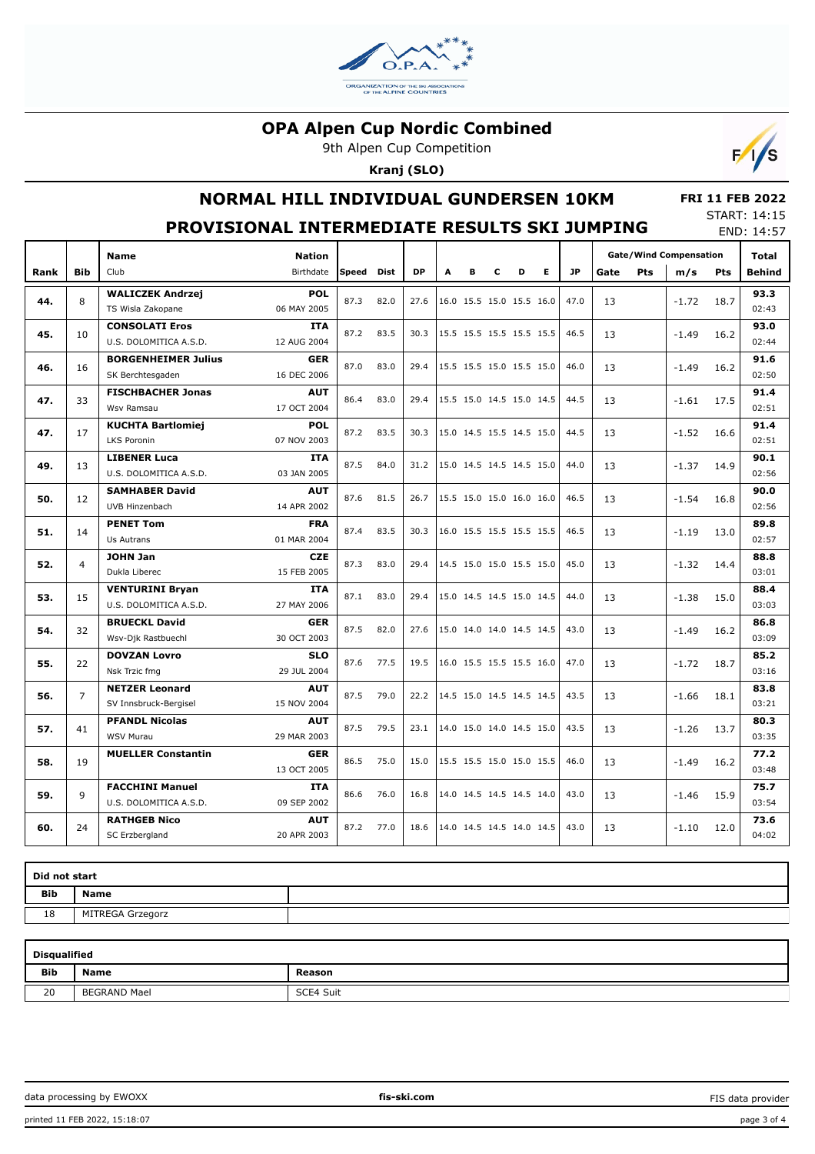

9th Alpen Cup Competition

**Kranj (SLO)**



## **NORMAL HILL INDIVIDUAL GUNDERSEN 10KM**

#### **FRI 11 FEB 2022** START: 14:15

|      |                |                                                  | PROVISIONAL INTERMEDIATE RESULTS SKI JUMPING |       |             |           |   |                          |   |   |    |           |      |     |                                      |            | <b>SIARI</b> 14.15<br>END: 14:57 |
|------|----------------|--------------------------------------------------|----------------------------------------------|-------|-------------|-----------|---|--------------------------|---|---|----|-----------|------|-----|--------------------------------------|------------|----------------------------------|
| Rank | <b>Bib</b>     | <b>Name</b><br>Club                              | <b>Nation</b><br>Birthdate                   | Speed | <b>Dist</b> | <b>DP</b> | A | в                        | C | D | E. | <b>JP</b> | Gate | Pts | <b>Gate/Wind Compensation</b><br>m/s | <b>Pts</b> | Total<br><b>Behind</b>           |
| 44.  | 8              | <b>WALICZEK Andrzei</b><br>TS Wisla Zakopane     | <b>POL</b><br>06 MAY 2005                    | 87.3  | 82.0        | 27.6      |   | 16.0 15.5 15.0 15.5 16.0 |   |   |    | 47.0      | 13   |     | $-1.72$                              | 18.7       | 93.3<br>02:43                    |
| 45.  | 10             | <b>CONSOLATI Eros</b><br>U.S. DOLOMITICA A.S.D.  | <b>ITA</b><br>12 AUG 2004                    | 87.2  | 83.5        | 30.3      |   | 15.5 15.5 15.5 15.5 15.5 |   |   |    | 46.5      | 13   |     | $-1.49$                              | 16.2       | 93.0<br>02:44                    |
| 46.  | 16             | <b>BORGENHEIMER Julius</b><br>SK Berchtesgaden   | <b>GER</b><br>16 DEC 2006                    | 87.0  | 83.0        | 29.4      |   | 15.5 15.5 15.0 15.5 15.0 |   |   |    | 46.0      | 13   |     | $-1.49$                              | 16.2       | 91.6<br>02:50                    |
| 47.  | 33             | <b>FISCHBACHER Jonas</b><br>Wsv Ramsau           | <b>AUT</b><br>17 OCT 2004                    | 86.4  | 83.0        | 29.4      |   | 15.5 15.0 14.5 15.0 14.5 |   |   |    | 44.5      | 13   |     | $-1.61$                              | 17.5       | 91.4<br>02:51                    |
| 47.  | 17             | <b>KUCHTA Bartlomiej</b><br>LKS Poronin          | <b>POL</b><br>07 NOV 2003                    | 87.2  | 83.5        | 30.3      |   | 15.0 14.5 15.5 14.5 15.0 |   |   |    | 44.5      | 13   |     | $-1.52$                              | 16.6       | 91.4<br>02:51                    |
| 49.  | 13             | <b>LIBENER Luca</b><br>U.S. DOLOMITICA A.S.D.    | ITA<br>03 JAN 2005                           | 87.5  | 84.0        | 31.2      |   | 15.0 14.5 14.5 14.5 15.0 |   |   |    | 44.0      | 13   |     | $-1.37$                              | 14.9       | 90.1<br>02:56                    |
| 50.  | 12             | <b>SAMHABER David</b><br>UVB Hinzenbach          | <b>AUT</b><br>14 APR 2002                    | 87.6  | 81.5        | 26.7      |   | 15.5 15.0 15.0 16.0 16.0 |   |   |    | 46.5      | 13   |     | $-1.54$                              | 16.8       | 90.0<br>02:56                    |
| 51.  | 14             | <b>PENET Tom</b><br>Us Autrans                   | <b>FRA</b><br>01 MAR 2004                    | 87.4  | 83.5        | 30.3      |   | 16.0 15.5 15.5 15.5 15.5 |   |   |    | 46.5      | 13   |     | $-1.19$                              | 13.0       | 89.8<br>02:57                    |
| 52.  | $\overline{4}$ | <b>JOHN Jan</b><br>Dukla Liberec                 | <b>CZE</b><br>15 FEB 2005                    | 87.3  | 83.0        | 29.4      |   | 14.5 15.0 15.0 15.5 15.0 |   |   |    | 45.0      | 13   |     | $-1.32$                              | 14.4       | 88.8<br>03:01                    |
| 53.  | 15             | <b>VENTURINI Bryan</b><br>U.S. DOLOMITICA A.S.D. | ITA<br>27 MAY 2006                           | 87.1  | 83.0        | 29.4      |   | 15.0 14.5 14.5 15.0 14.5 |   |   |    | 44.0      | 13   |     | $-1.38$                              | 15.0       | 88.4<br>03:03                    |
| 54.  | 32             | <b>BRUECKL David</b><br>Wsv-Dik Rastbuechl       | <b>GER</b><br>30 OCT 2003                    | 87.5  | 82.0        | 27.6      |   | 15.0 14.0 14.0 14.5 14.5 |   |   |    | 43.0      | 13   |     | $-1.49$                              | 16.2       | 86.8<br>03:09                    |
| 55.  | 22             | <b>DOVZAN Lovro</b><br>Nsk Trzic fmg             | <b>SLO</b><br>29 JUL 2004                    | 87.6  | 77.5        | 19.5      |   | 16.0 15.5 15.5 15.5 16.0 |   |   |    | 47.0      | 13   |     | $-1.72$                              | 18.7       | 85.2<br>03:16                    |
| 56.  | $\overline{7}$ | <b>NETZER Leonard</b><br>SV Innsbruck-Bergisel   | <b>AUT</b><br>15 NOV 2004                    | 87.5  | 79.0        | 22.2      |   | 14.5 15.0 14.5 14.5 14.5 |   |   |    | 43.5      | 13   |     | $-1.66$                              | 18.1       | 83.8<br>03:21                    |
| 57.  | 41             | <b>PFANDL Nicolas</b><br><b>WSV Murau</b>        | <b>AUT</b><br>29 MAR 2003                    | 87.5  | 79.5        | 23.1      |   | 14.0 15.0 14.0 14.5 15.0 |   |   |    | 43.5      | 13   |     | $-1.26$                              | 13.7       | 80.3<br>03:35                    |
| 58.  | 19             | <b>MUELLER Constantin</b>                        | <b>GER</b><br>13 OCT 2005                    | 86.5  | 75.0        | 15.0      |   | 15.5 15.5 15.0 15.0 15.5 |   |   |    | 46.0      | 13   |     | $-1.49$                              | 16.2       | 77.2<br>03:48                    |
| 59.  | 9              | <b>FACCHINI Manuel</b><br>U.S. DOLOMITICA A.S.D. | <b>ITA</b><br>09 SEP 2002                    | 86.6  | 76.0        | 16.8      |   | 14.0 14.5 14.5 14.5 14.0 |   |   |    | 43.0      | 13   |     | $-1.46$                              | 15.9       | 75.7<br>03:54                    |
| 60.  | 24             | <b>RATHGEB Nico</b><br>SC Erzbergland            | <b>AUT</b><br>20 APR 2003                    | 87.2  | 77.0        | 18.6      |   | 14.0 14.5 14.5 14.0 14.5 |   |   |    | 43.0      | 13   |     | $-1.10$                              | 12.0       | 73.6<br>04:02                    |

| Did not start |                  |  |  |  |  |  |  |  |  |  |
|---------------|------------------|--|--|--|--|--|--|--|--|--|
| Bib           | <b>Name</b>      |  |  |  |  |  |  |  |  |  |
| 18            | MITREGA Grzegorz |  |  |  |  |  |  |  |  |  |

| <b>Disqualified</b> |                 |           |  |  |  |  |  |  |  |  |  |  |
|---------------------|-----------------|-----------|--|--|--|--|--|--|--|--|--|--|
| <b>Bib</b>          | <b>Name</b>     | Reason    |  |  |  |  |  |  |  |  |  |  |
| 20                  | BEGRAND<br>Mael | SCE4 Suit |  |  |  |  |  |  |  |  |  |  |

FIS data provider